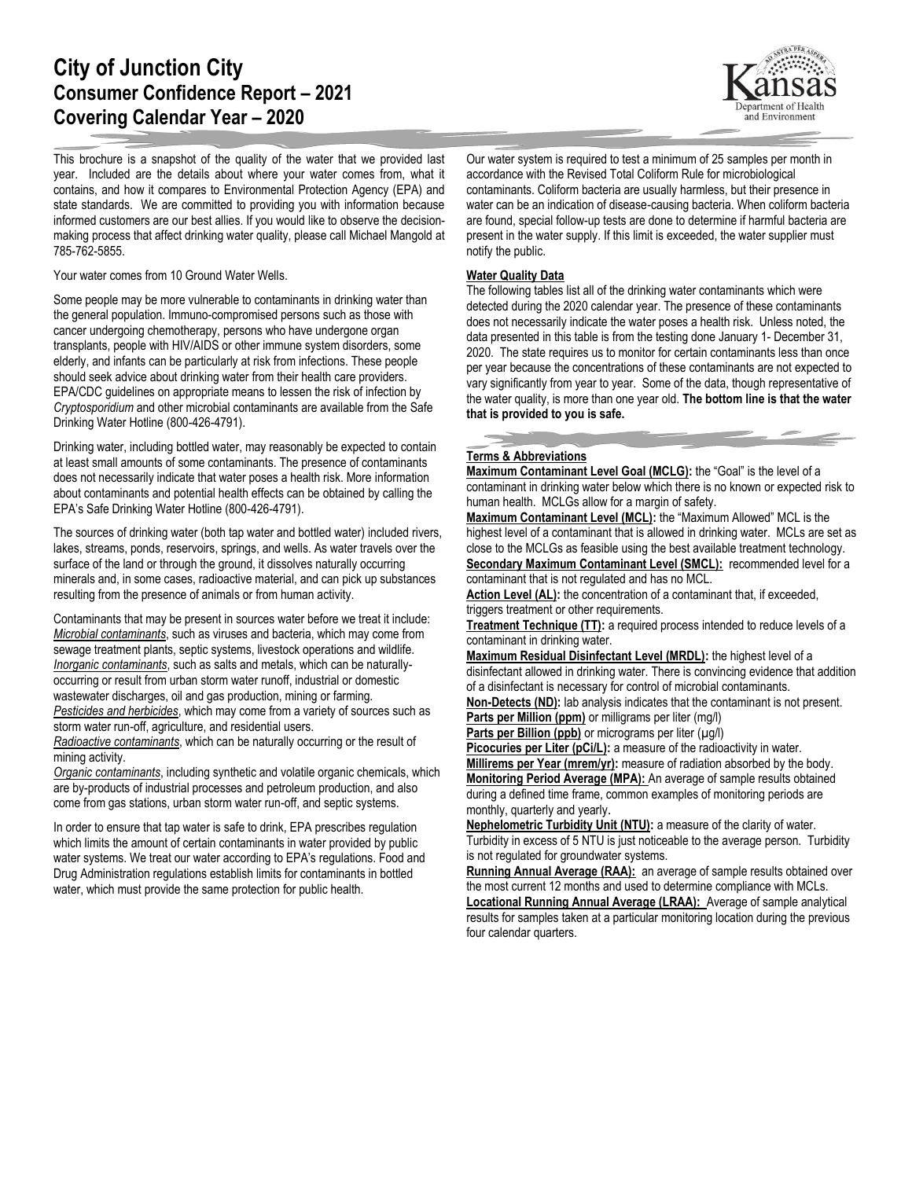## **City of Junction City Consumer Confidence Report – 2021 Covering Calendar Year – 2020**

This brochure is a snapshot of the quality of the water that we provided last year. Included are the details about where your water comes from, what it contains, and how it compares to Environmental Protection Agency (EPA) and state standards. We are committed to providing you with information because informed customers are our best allies. If you would like to observe the decisionmaking process that affect drinking water quality, please call Michael Mangold at 785-762-5855.

Your water comes from 10 Ground Water Wells.

Some people may be more vulnerable to contaminants in drinking water than the general population. Immuno-compromised persons such as those with cancer undergoing chemotherapy, persons who have undergone organ transplants, people with HIV/AIDS or other immune system disorders, some elderly, and infants can be particularly at risk from infections. These people should seek advice about drinking water from their health care providers. EPA/CDC guidelines on appropriate means to lessen the risk of infection by *Cryptosporidium* and other microbial contaminants are available from the Safe Drinking Water Hotline (800-426-4791).

Drinking water, including bottled water, may reasonably be expected to contain at least small amounts of some contaminants. The presence of contaminants does not necessarily indicate that water poses a health risk. More information about contaminants and potential health effects can be obtained by calling the EPA's Safe Drinking Water Hotline (800-426-4791).

The sources of drinking water (both tap water and bottled water) included rivers, lakes, streams, ponds, reservoirs, springs, and wells. As water travels over the surface of the land or through the ground, it dissolves naturally occurring minerals and, in some cases, radioactive material, and can pick up substances resulting from the presence of animals or from human activity.

Contaminants that may be present in sources water before we treat it include: *Microbial contaminants*, such as viruses and bacteria, which may come from sewage treatment plants, septic systems, livestock operations and wildlife. *Inorganic contaminants*, such as salts and metals, which can be naturallyoccurring or result from urban storm water runoff, industrial or domestic wastewater discharges, oil and gas production, mining or farming. *Pesticides and herbicides*, which may come from a variety of sources such as storm water run-off, agriculture, and residential users.

*Radioactive contaminants*, which can be naturally occurring or the result of mining activity.

*Organic contaminants*, including synthetic and volatile organic chemicals, which are by-products of industrial processes and petroleum production, and also come from gas stations, urban storm water run-off, and septic systems.

In order to ensure that tap water is safe to drink, EPA prescribes regulation which limits the amount of certain contaminants in water provided by public water systems. We treat our water according to EPA's regulations. Food and Drug Administration regulations establish limits for contaminants in bottled water, which must provide the same protection for public health.

Our water system is required to test a minimum of 25 samples per month in accordance with the Revised Total Coliform Rule for microbiological contaminants. Coliform bacteria are usually harmless, but their presence in water can be an indication of disease-causing bacteria. When coliform bacteria are found, special follow-up tests are done to determine if harmful bacteria are present in the water supply. If this limit is exceeded, the water supplier must notify the public.

## **Water Quality Data**

The following tables list all of the drinking water contaminants which were detected during the 2020 calendar year. The presence of these contaminants does not necessarily indicate the water poses a health risk. Unless noted, the data presented in this table is from the testing done January 1- December 31, 2020. The state requires us to monitor for certain contaminants less than once per year because the concentrations of these contaminants are not expected to vary significantly from year to year. Some of the data, though representative of the water quality, is more than one year old. **The bottom line is that the water that is provided to you is safe.**

## **Terms & Abbreviations**

**Maximum Contaminant Level Goal (MCLG):** the "Goal" is the level of a contaminant in drinking water below which there is no known or expected risk to human health. MCLGs allow for a margin of safety.

**Maximum Contaminant Level (MCL):** the "Maximum Allowed" MCL is the highest level of a contaminant that is allowed in drinking water. MCLs are set as close to the MCLGs as feasible using the best available treatment technology. **Secondary Maximum Contaminant Level (SMCL):** recommended level for a contaminant that is not regulated and has no MCL.

Action Level (AL): the concentration of a contaminant that, if exceeded, triggers treatment or other requirements.

**Treatment Technique (TT):** a required process intended to reduce levels of a contaminant in drinking water.

**Maximum Residual Disinfectant Level (MRDL):** the highest level of a disinfectant allowed in drinking water. There is convincing evidence that addition of a disinfectant is necessary for control of microbial contaminants.

**Non-Detects (ND):** lab analysis indicates that the contaminant is not present. **Parts per Million (ppm)** or milligrams per liter (mg/l)

Parts per Billion (ppb) or micrograms per liter (µg/l)

**Picocuries per Liter (pCi/L):** a measure of the radioactivity in water. **Millirems per Year (mrem/yr):** measure of radiation absorbed by the body. **Monitoring Period Average (MPA):** An average of sample results obtained during a defined time frame, common examples of monitoring periods are monthly, quarterly and yearly.

**Nephelometric Turbidity Unit (NTU):** a measure of the clarity of water. Turbidity in excess of 5 NTU is just noticeable to the average person. Turbidity is not regulated for groundwater systems.

Running Annual Average (RAA): an average of sample results obtained over the most current 12 months and used to determine compliance with MCLs. **Locational Running Annual Average (LRAA):** Average of sample analytical results for samples taken at a particular monitoring location during the previous four calendar quarters.

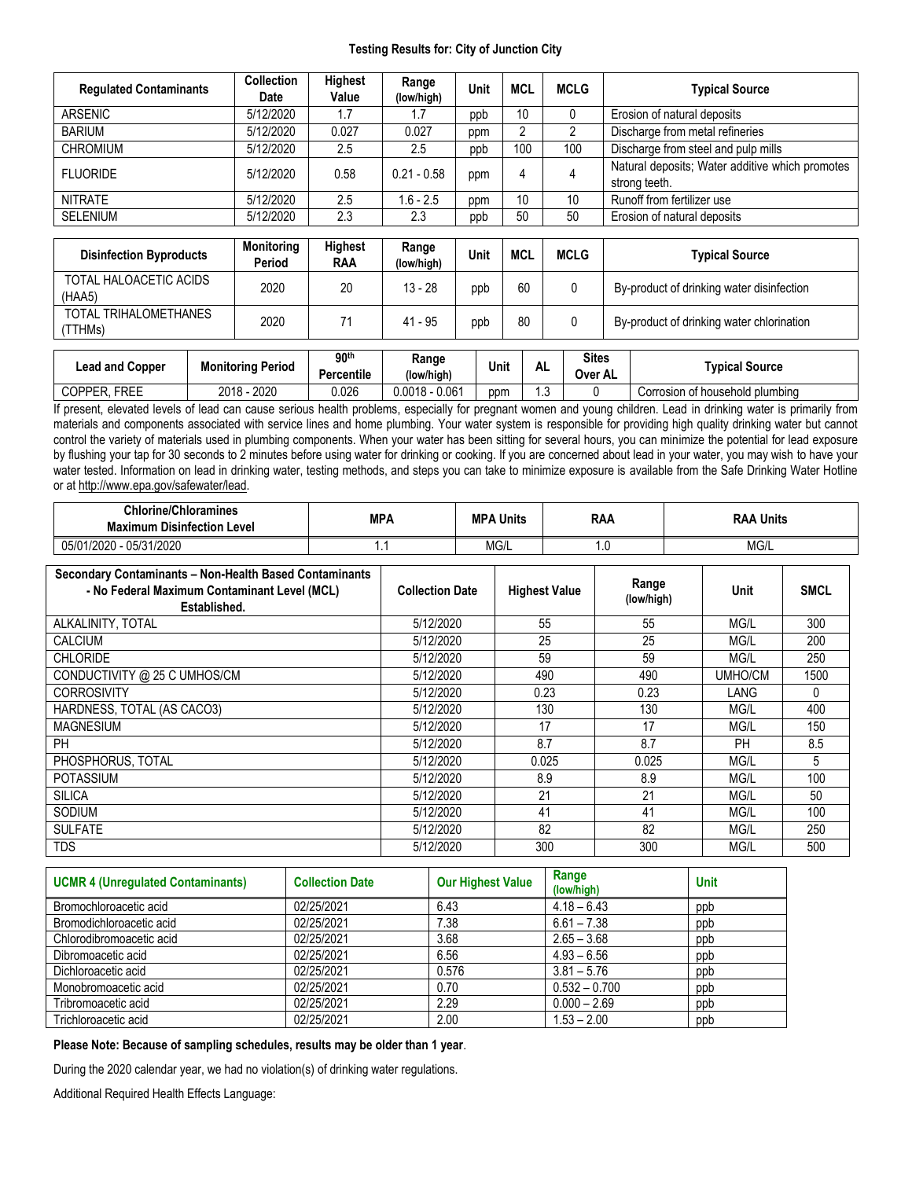## **Testing Results for: City of Junction City**

| <b>Regulated Contaminants</b>    | <b>Collection</b><br>Date   | <b>Highest</b><br>Value | Range<br>(low/high) | <b>Unit</b> | <b>MCL</b>     | <b>MCLG</b> | <b>Typical Source</b>                                            |  |  |
|----------------------------------|-----------------------------|-------------------------|---------------------|-------------|----------------|-------------|------------------------------------------------------------------|--|--|
| ARSENIC                          | 5/12/2020                   | 1.7                     | 1.7                 | ppb         | 10             | $\bf{0}$    | Erosion of natural deposits                                      |  |  |
| <b>BARIUM</b>                    | 5/12/2020                   | 0.027                   | 0.027               | ppm         | $\overline{2}$ | 2           | Discharge from metal refineries                                  |  |  |
| <b>CHROMIUM</b>                  | 5/12/2020                   | 2.5                     | 2.5                 | ppb         | 100            | 100         | Discharge from steel and pulp mills                              |  |  |
| <b>FLUORIDE</b>                  | 5/12/2020                   | 0.58                    | $0.21 - 0.58$       | ppm         | 4              | 4           | Natural deposits; Water additive which promotes<br>strong teeth. |  |  |
| <b>NITRATE</b>                   | 5/12/2020                   | 2.5                     | $1.6 - 2.5$         | ppm         | 10             | 10          | Runoff from fertilizer use                                       |  |  |
| <b>SELENIUM</b>                  | 5/12/2020                   | 2.3                     | 2.3                 | ppb         | 50             | 50          | Erosion of natural deposits                                      |  |  |
|                                  |                             |                         |                     |             |                |             |                                                                  |  |  |
| <b>Disinfection Byproducts</b>   | <b>Monitoring</b><br>Period | Highest<br><b>RAA</b>   | Range<br>(low/high) | <b>Unit</b> | <b>MCL</b>     | <b>MCLG</b> | <b>Typical Source</b>                                            |  |  |
| TOTAL HALOACETIC ACIDS<br>(HAA5) | 2020                        | 20                      | $13 - 28$           | ppb         | 60             | 0           | By-product of drinking water disinfection                        |  |  |
| TOTAL TRIHALOMETHANES<br>(TTHMs) | 2020                        | 71                      | $41 - 95$           | ppb         | 80             | 0           | By-product of drinking water chlorination                        |  |  |

| ∟ead and Copper        | Monitoring Period                   | 90 <sup>th</sup><br>$\cdots$<br>Percentile | Range<br>(low/high) | Unit | AL   | <b>Sites</b><br>Over AL | Tvpical Source                  |
|------------------------|-------------------------------------|--------------------------------------------|---------------------|------|------|-------------------------|---------------------------------|
| <b>FREE</b><br>COPPER. | nnnn<br><b>OO10</b><br>ZUZU<br>ZUIO | 0.026                                      | $0.0018 - 0.061$    | ppm  | ں. ، |                         | Corrosion of household plumbing |

If present, elevated levels of lead can cause serious health problems, especially for pregnant women and young children. Lead in drinking water is primarily from materials and components associated with service lines and home plumbing. Your water system is responsible for providing high quality drinking water but cannot control the variety of materials used in plumbing components. When your water has been sitting for several hours, you can minimize the potential for lead exposure by flushing your tap for 30 seconds to 2 minutes before using water for drinking or cooking. If you are concerned about lead in your water, you may wish to have your water tested. Information on lead in drinking water, testing methods, and steps you can take to minimize exposure is available from the Safe Drinking Water Hotline or at [http://www.epa.gov/safewater/lead.](http://www.epa.gov/safewater/lead)

| <b>Chlorine/Chloramines</b><br><b>Maximum Disinfection Level</b>                                                       | <b>MPA</b> |                        | <b>MPA Units</b> |                      | <b>RAA</b> |                     | <b>RAA Units</b> |           |             |
|------------------------------------------------------------------------------------------------------------------------|------------|------------------------|------------------|----------------------|------------|---------------------|------------------|-----------|-------------|
| 05/01/2020 - 05/31/2020                                                                                                | 1.1        |                        | MG/L             |                      | 1.0        |                     | MG/L             |           |             |
| Secondary Contaminants - Non-Health Based Contaminants<br>- No Federal Maximum Contaminant Level (MCL)<br>Established. |            | <b>Collection Date</b> |                  | <b>Highest Value</b> |            | Range<br>(low/high) |                  | Unit      | <b>SMCL</b> |
| ALKALINITY, TOTAL                                                                                                      |            | 5/12/2020              |                  | 55                   | 55         |                     | MG/L             | 300       |             |
| <b>CALCIUM</b>                                                                                                         |            | 5/12/2020              |                  | 25                   |            | 25                  |                  | MG/L      | 200         |
| <b>CHLORIDE</b>                                                                                                        |            | 5/12/2020              |                  | 59                   |            | 59                  |                  | MG/L      | 250         |
| CONDUCTIVITY @ 25 C UMHOS/CM                                                                                           |            | 5/12/2020              |                  | 490                  |            | 490                 |                  | UMHO/CM   | 1500        |
| <b>CORROSIVITY</b>                                                                                                     |            | 5/12/2020              |                  | 0.23                 |            | 0.23                |                  | LANG      | 0           |
| HARDNESS, TOTAL (AS CACO3)                                                                                             |            | 5/12/2020              |                  | 130                  |            | 130                 |                  | MG/L      | 400         |
| <b>MAGNESIUM</b>                                                                                                       |            | 5/12/2020              |                  | 17                   |            | 17                  |                  | MG/L      | 150         |
| PH                                                                                                                     |            | 5/12/2020              |                  | 8.7                  |            | 8.7                 |                  | <b>PH</b> | 8.5         |
| PHOSPHORUS, TOTAL                                                                                                      |            | 5/12/2020              |                  | 0.025                |            | 0.025               |                  | MG/L      | 5           |
| <b>POTASSIUM</b>                                                                                                       |            | 5/12/2020              | 8.9              |                      |            | 8.9                 |                  | MG/L      | 100         |
| <b>SILICA</b>                                                                                                          |            | 5/12/2020              |                  | 21                   |            | 21                  |                  | MG/L      | 50          |
| SODIUM                                                                                                                 |            | 5/12/2020              | 41               |                      |            | 41                  |                  | MG/L      | 100         |
| <b>SULFATE</b>                                                                                                         |            | 5/12/2020              | 82               |                      |            | 82                  |                  | MG/L      | 250         |
| <b>TDS</b>                                                                                                             |            | 5/12/2020              |                  | 300                  |            | 300                 |                  | MG/L      | 500         |

| <b>UCMR 4 (Unregulated Contaminants)</b> | <b>Collection Date</b> | <b>Our Highest Value</b> | Range<br>(low/high) | <b>Unit</b> |
|------------------------------------------|------------------------|--------------------------|---------------------|-------------|
| Bromochloroacetic acid                   | 02/25/2021             | 6.43                     | $4.18 - 6.43$       | ppb         |
| Bromodichloroacetic acid                 | 02/25/2021             | 7.38                     | $6.61 - 7.38$       | ppb         |
| Chlorodibromoacetic acid                 | 02/25/2021             | 3.68                     | $2.65 - 3.68$       | ppb         |
| Dibromoacetic acid                       | 02/25/2021             | 6.56                     | $4.93 - 6.56$       | ppb         |
| Dichloroacetic acid                      | 02/25/2021             | 0.576                    | $3.81 - 5.76$       | ppb         |
| Monobromoacetic acid                     | 02/25/2021             | 0.70                     | $0.532 - 0.700$     | ppb         |
| Tribromoacetic acid                      | 02/25/2021             | 2.29                     | $0.000 - 2.69$      | ppb         |
| Trichloroacetic acid                     | 02/25/2021             | 2.00                     | $1.53 - 2.00$       | ppb         |

**Please Note: Because of sampling schedules, results may be older than 1 year**.

During the 2020 calendar year, we had no violation(s) of drinking water regulations.

Additional Required Health Effects Language: